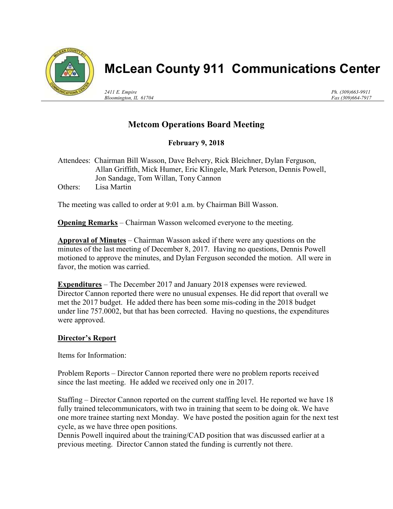

# McLean County 911 Communications Center

2411 E. Empire Bloomington, IL 61704 Ph. (309)663-9911 Fax (309)664-7917

## Metcom Operations Board Meeting

### February 9, 2018

Attendees: Chairman Bill Wasson, Dave Belvery, Rick Bleichner, Dylan Ferguson, Allan Griffith, Mick Humer, Eric Klingele, Mark Peterson, Dennis Powell, Jon Sandage, Tom Willan, Tony Cannon Others: Lisa Martin

The meeting was called to order at 9:01 a.m. by Chairman Bill Wasson.

**Opening Remarks** – Chairman Wasson welcomed everyone to the meeting.

Approval of Minutes – Chairman Wasson asked if there were any questions on the minutes of the last meeting of December 8, 2017. Having no questions, Dennis Powell motioned to approve the minutes, and Dylan Ferguson seconded the motion. All were in favor, the motion was carried.

Expenditures – The December 2017 and January 2018 expenses were reviewed. Director Cannon reported there were no unusual expenses. He did report that overall we met the 2017 budget. He added there has been some mis-coding in the 2018 budget under line 757.0002, but that has been corrected. Having no questions, the expenditures were approved.

#### Director's Report

Items for Information:

Problem Reports – Director Cannon reported there were no problem reports received since the last meeting. He added we received only one in 2017.

Staffing – Director Cannon reported on the current staffing level. He reported we have 18 fully trained telecommunicators, with two in training that seem to be doing ok. We have one more trainee starting next Monday. We have posted the position again for the next test cycle, as we have three open positions.

Dennis Powell inquired about the training/CAD position that was discussed earlier at a previous meeting. Director Cannon stated the funding is currently not there.